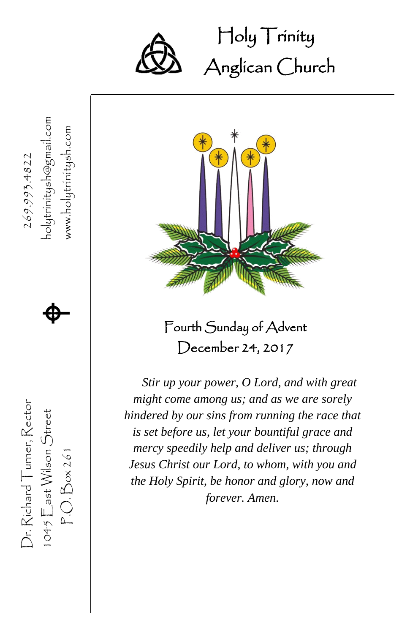

Holy Trinity Ĩ Anglican Church

1045  $\mathsf{E}$ ast Wilson Street  $\bigoplus$ www.holytrinitysh.com P.O. Box 261 www.holytrinitysh.com Dr. Richard Turner, Rector  $269.993.4822$ 269.993.4822  $\spadesuit$ Dr. Richard Turner, Rector  $1045$   $\sum$ ast Wilson Street  $P.O.Box261$ 



Fourth Sunday of Advent December 24, 2017

*Stir up your power, O Lord, and with great might come among us; and as we are sorely hindered by our sins from running the race that is set before us, let your bountiful grace and mercy speedily help and deliver us; through Jesus Christ our Lord, to whom, with you and the Holy Spirit, be honor and glory, now and forever. Amen.*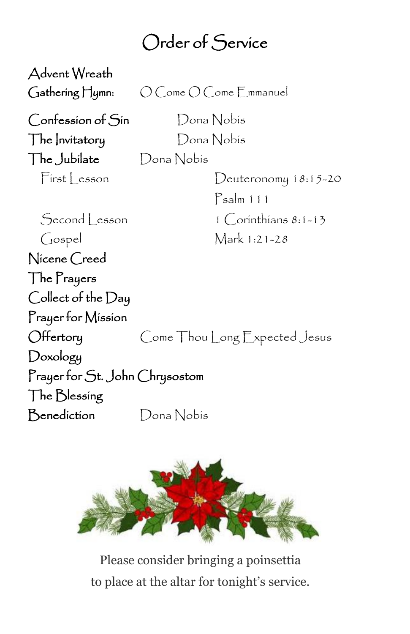## Order of Service

Advent Wreath Gathering Hymn:  $O$  Come O Come Emmanuel Confession of Sin Dona Nobis The Invitatory Dona Nobis The Jubilate Dona Nobis First Lesson Deuteronomy 18:15-20 Psalm 111 Second | esson 1 Corinthians 8:1-13 Gospel Mark 1:21-28 Nicene Creed The Prayers Collect of the Day Prayer for Mission Offertory Come Thou Long Expected Jesus Doxology Prayer for St. John Chrysostom The Blessing Benediction Dona Nobis



Please consider bringing a poinsettia to place at the altar for tonight's service.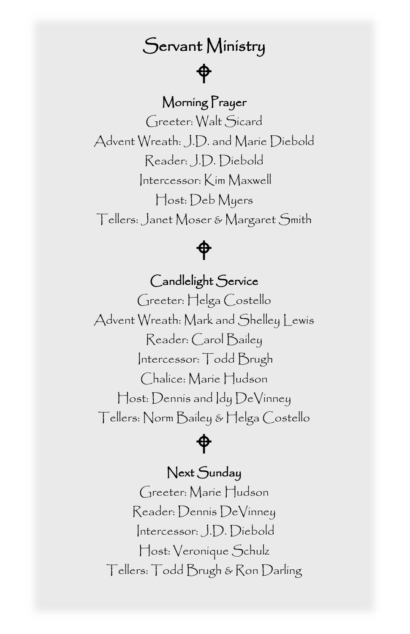### Servant Ministry

## $\bigoplus$

#### Morning Prayer

 $\ddot{\phantom{0}}$ Greeter: Walt Sicard Advent Wreath: J.D. and Marie Diebold Reader: J.D. Diebold Intercessor: Kim Maxwell Host: Deb Myers Tellers: Janet Moser & Margaret Smith



#### Candlelight Service

Greeter: Helga Costello Advent Wreath: Mark and Shelley Lewis Reader: Carol Bailey Intercessor: Todd Brugh Chalice: Marie Hudson Host: Dennis and Idy DeVinney Tellers: Norm Bailey & Helga Costello



#### Next Sunday

Greeter: Marie Hudson Reader: Dennis DeVinney Intercessor: J.D. Diebold Host: Veronique Schulz Tellers: Todd Brugh & Ron Darling